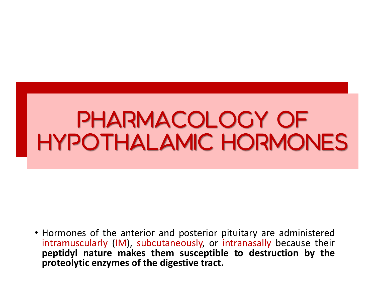## PHARMACOLOGY OF HYPOTHALAMIC HORMONES

• Hormones of the anterior and posterior pituitary are administered intramuscularly (IM), subcutaneously, or intranasally because their **peptidyl nature makes them susceptible to destruction by the proteolytic enzymes of the digestive tract.**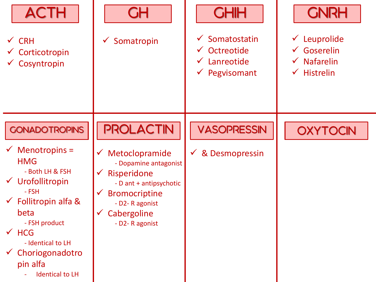| <b>ACTH</b><br>$\checkmark$ CRH<br>$\checkmark$ Corticotropin<br>$\checkmark$ Cosyntropin                                                                                                                                                                                             | <b>GH</b><br>Somatropin                                                                                                                                                                          | <b>CHIH</b><br>Somatostatin<br>$\checkmark$<br>$\checkmark$ Octreotide<br>$\checkmark$ Lanreotide<br>$\checkmark$ Pegvisomant | <b>CNRH</b><br>Leuprolide<br>$\checkmark$<br>$\checkmark$ Goserelin<br><b>Nafarelin</b><br>$\checkmark$<br><b>Histrelin</b><br>$\checkmark$ |
|---------------------------------------------------------------------------------------------------------------------------------------------------------------------------------------------------------------------------------------------------------------------------------------|--------------------------------------------------------------------------------------------------------------------------------------------------------------------------------------------------|-------------------------------------------------------------------------------------------------------------------------------|---------------------------------------------------------------------------------------------------------------------------------------------|
| <b>GONADOTROPINS</b><br>$\checkmark$ Menotropins =<br><b>HMG</b><br>- Both LH & FSH<br>$\checkmark$ Urofollitropin<br>- FSH<br>$\checkmark$ Follitropin alfa &<br>beta<br>- FSH product<br>$\times$ HCG<br>- Identical to LH<br>Choriogonadotro<br>pin alfa<br><b>Identical to LH</b> | <b>PROLACTIN</b><br>Metoclopramide<br>$\checkmark$<br>- Dopamine antagonist<br>Risperidone<br>- D ant + antipsychotic<br><b>Bromocriptine</b><br>- D2-R agonist<br>Cabergoline<br>- D2-R agonist | <b>VASOPRESSIN</b><br>& Desmopressin                                                                                          | <b>OXYTOCIN</b>                                                                                                                             |

.

H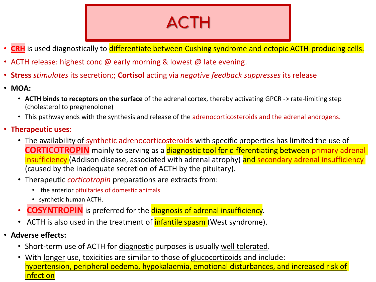#### **ACTH**

- CRH is used diagnostically to differentiate between Cushing syndrome and ectopic ACTH-producing cells.
- ACTH release: highest conc @ early morning & lowest @ late evening.
- **Stress** *stimulates* its secretion;; **Cortisol** acting via *negative feedback suppresses* its release
- **MOA:**
	- **ACTH binds to receptors on the surface** of the adrenal cortex, thereby activating GPCR -> rate-limiting step (cholesterol to pregnenolone)
	- This pathway ends with the synthesis and release of the adrenocorticosteroids and the adrenal androgens.
- **Therapeutic uses**:
	- The availability of synthetic adrenocorticosteroids with specific properties has limited the use of **CORTICOTROPIN** mainly to serving as a **diagnostic tool for differentiating between primary adrenal** insufficiency (Addison disease, associated with adrenal atrophy) and secondary adrenal insufficiency (caused by the inadequate secretion of ACTH by the pituitary).
	- Therapeutic *corticotropin* preparations are extracts from:
		- the anterior pituitaries of domestic animals
		- synthetic human ACTH.
	- **COSYNTROPIN** is preferred for the diagnosis of adrenal insufficiency.
	- ACTH is also used in the treatment of **infantile spasm** (West syndrome).
- **Adverse effects:**
	- Short-term use of ACTH for *diagnostic* purposes is usually well tolerated.
	- With longer use, toxicities are similar to those of glucocorticoids and include: hypertension, peripheral oedema, hypokalaemia, emotional disturbances, and increased risk of infection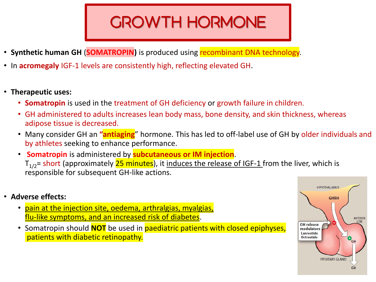### **GROWTH HORMONE**

- **Synthetic human GH (SOMATROPIN)** is produced using recombinant DNA technology.
- In **acromegaly** IGF-1 levels are consistently high, reflecting elevated GH.
- **Therapeutic uses:**
	- **Somatropin** is used in the treatment of GH deficiency or growth failure in children.
	- GH administered to adults increases lean body mass, bone density, and skin thickness, whereas adipose tissue is decreased.
	- Many consider GH an **"antiaging**" hormone. This has led to off-label use of GH by older individuals and by athletes seeking to enhance performance.
	- **Somatropin** is administered by **subcutaneous or IM injection**.  $T_{1/2}$ = short (approximately 25 minutes), it induces the release of IGF-1 from the liver, which is responsible for subsequent GH-like actions.
- **Adverse effects:**
	- pain at the injection site, oedema, arthralgias, myalgias, flu-like symptoms, and an increased risk of diabetes.
	- Somatropin should **NOT** be used in paediatric patients with closed epiphyses, patients with diabetic retinopathy.

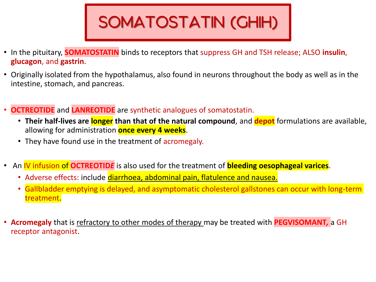# SOMATOSTATIN (GHIH)

- In the pituitary, **SOMATOSTATIN** binds to receptors that suppress GH and TSH release; ALSO **insulin**, **glucagon**, and **gastrin**.
- Originally isolated from the hypothalamus, also found in neurons throughout the body as well as in the intestine, stomach, and pancreas.
- **OCTREOTIDE** and **LANREOTIDE** are synthetic analogues of somatostatin.
	- **Their half-lives are longer than that of the natural compound**, and **depot** formulations are available, allowing for administration **once every 4 weeks**.
	- They have found use in the treatment of acromegaly.
- An IV infusion of **OCTREOTID***E* is also used for the treatment of **bleeding oesophageal varices**.
	- Adverse effects: include diarrhoea, abdominal pain, flatulence and nausea.
	- Gallbladder emptying is delayed, and asymptomatic cholesterol gallstones can occur with long-term treatment.
- **Acromegaly** that is refractory to other modes of therapy may be treated with **PEGVISOMANT***,* a GH receptor antagonist.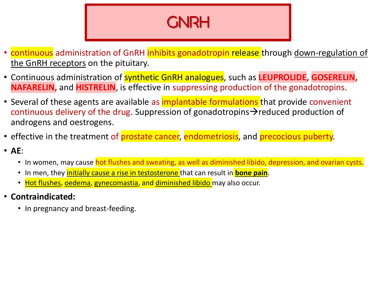#### **GNRH**

- continuous administration of GnRH inhibits gonadotropin release through down-regulation of the GnRH receptors on the pituitary.
- Continuous administration of synthetic GnRH analogues, such as **LEUPROLIDE, GOSERELIN, NAFARELIN,** and **HISTRELIN**, is effective in suppressing production of the gonadotropins.
- Several of these agents are available as *implantable formulations* that provide convenient continuous delivery of the drug. Suppression of gonadotropins→reduced production of androgens and oestrogens.
- effective in the treatment of prostate cancer, endometriosis, and precocious puberty.
- **AE**:
	- In women, may cause hot flushes and sweating, as well as diminished libido, depression, and ovarian cysts.
	- In men, they **initially cause a rise in testosterone** that can result in **bone pain**.
	- Hot flushes, oedema, gynecomastia, and diminished libido may also occur.
- **Contraindicated:**
	- In pregnancy and breast-feeding.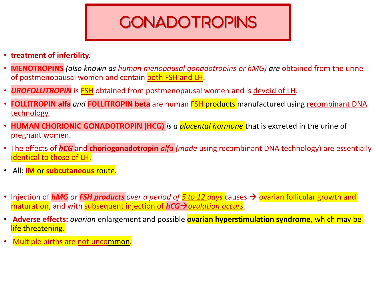#### **GONADOTROPINS**

- **treatment of infertility.**
- **MENOTROPINS** *(also known as human menopausal gonadotropins or hMG) are* obtained from the urine of postmenopausal women and contain both FSH and LH.
- **UROFOLLITROPIN** is **FSH** obtained from postmenopausal women and is devoid of LH.
- **FOLLITROPIN alfa** *and* **FOLLITROPIN beta** are human FSH products manufactured using recombinant DNA technology.
- **HUMAN CHORIONIC GONADOTROPIN (HCG)** *is a placental hormone* that is excreted in the urine of pregnant women.
- The effects of *hCG* and **choriogonadotropin** *alfa (made* using recombinant DNA technology) are essentially identical to those of LH.
- All: **IM** or **subcutaneous** route.
- Injection of *hMG or FSH products over a period of 5 to 12 days* causes → ovarian follicular growth and maturation, and with subsequent injection of *hCG*→*ovulation occurs.*
- **Adverse effects:** *ovarian* enlargement and possible **ovarian hyperstimulation syndrome**, which may be life threatening.
- Multiple births are not uncommon.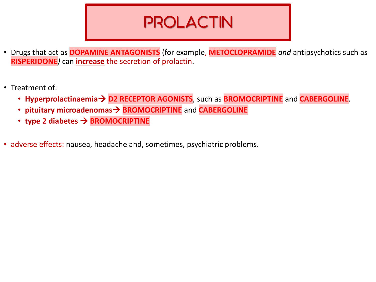#### **PROLACTIN**

- Drugs that act as **DOPAMINE ANTAGONISTS** (for example, **METOCLOPRAMIDE** *and* antipsychotics such as **RISPERIDONE***)* can **increase** the secretion of prolactin.
- Treatment of:
	- **Hyperprolactinaemia**→ **D2 RECEPTOR AGONISTS**, such as **BROMOCRIPTINE** and **CABERGOLINE***.*
	- **pituitary microadenomas**→ **BROMOCRIPTINE** and **CABERGOLINE**
	- **type 2 diabetes** → **BROMOCRIPTINE**
- adverse effects: nausea, headache and, sometimes, psychiatric problems.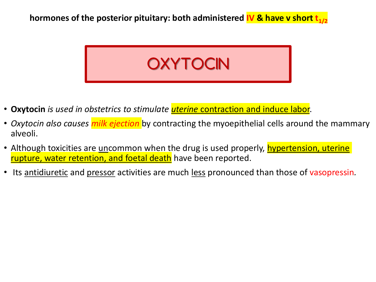**hormones of the posterior pituitary: both administered IV & have v short t<sub>1/2</sub>** 



- **Oxytocin** *is used in obstetrics to stimulate uterine* contraction and induce labor.
- *Oxytocin also causes milk ejection* by contracting the myoepithelial cells around the mammary alveoli.
- Although toxicities are uncommon when the drug is used properly, hypertension, uterine rupture, water retention, and foetal death have been reported.
- Its antidiuretic and pressor activities are much less pronounced than those of vasopressin*.*